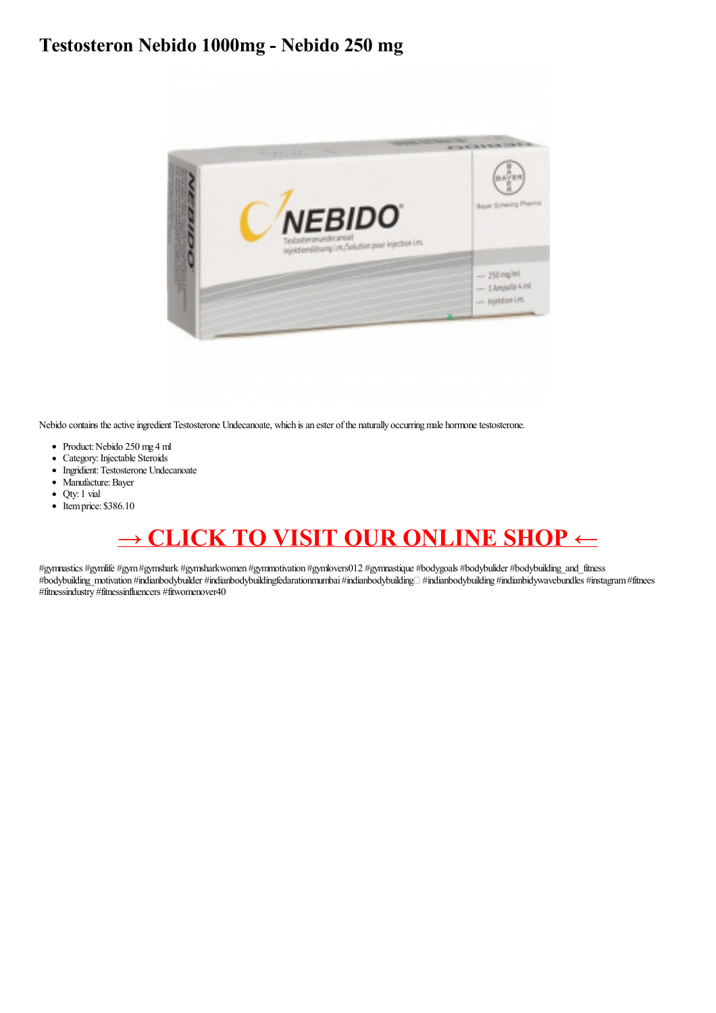## Testosteron Nebido 1000mg - Nebido 250 mg



Nebido contains the active ingredient Testosterone Undecanoate, which is an ester of the naturally occurring male hormone testosterone.

- Product: Nebido 250 mg 4 ml
- Category: Injectable Steroids
- Ingridient: Testosterone Undecanoate
- · Manufacture: Bayer
- Qty: 1 vial
- $\bullet$  Item price: \$386.10

## **CLICK TO VISIT OUR ONLINE SHOP**  $\leftarrow$

#gymnastics #gymlife #gym #gymshark #gymsharkwomen #gymnotivation #gymlovers012 #gymnastique #bodygoals #bodybulider #bodybuilding\_and\_fitness #bodybuilding\_motivation #indianbodybuilder #indianbodybuildingfedarationmumbai #indianbodybuilding #indianbodybuilding #indianbidywavebundles #instagram #fitnees #fitnessindustry #fitnessinfluencers #fitwomenover40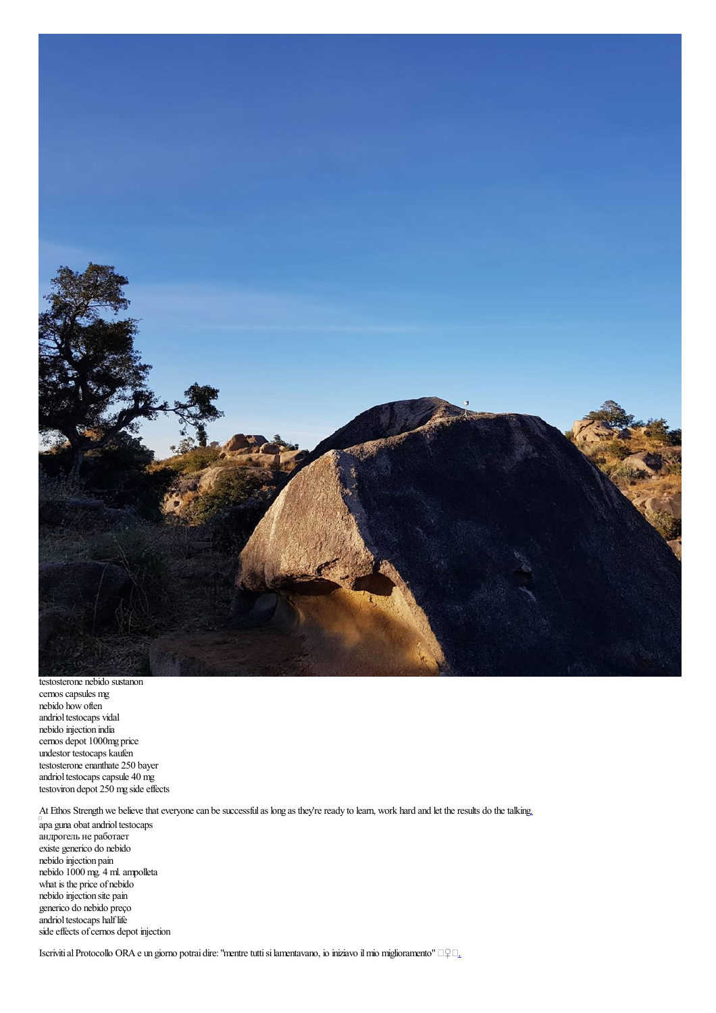

testosterone nebido sustanon cernos capsules mg nebido howoften andriol testocaps vidal nebido injection india cernos depot 1000mg price undestor testocaps kaufen testosterone enanthate 250 bayer andriol testocaps capsule 40 mg testoviron depot 250 mg side effects

At Ethos Strength we believe that everyone can be successful as long as they're ready to learn, work hard and let the results do the talkin[g.](https://cdn.shopify.com/s/files/1/0508/8903/1840/files/Maestro_Scooter_Carburetor_Price_-_Drostanolone_Propionate_100_mg_1_vial_10_ml-html.pdf)

apa guna obat andriol testocaps андрогель не работает existe generico do nebido nebido injection pain nebido 1000 mg. 4 ml.ampolleta what is the price of nebido nebido injection site pain generico do nebido preço andriol testocaps half life side effects of cernos depot injection

Iscriviti al Protocollo ORA e un giorno potrai dire: "mentre tutti si lamentavano, io iniziavo il mio miglioramento" □♀□[.](http://comprar-boldenone-undecylenate.over-blog.com/2020/10/boldenone-undecylenate-mass-spectrum-bold-300-mg.html)